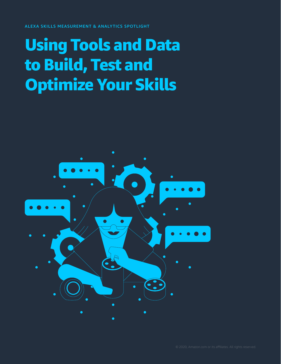ALEXA SKILLS MEASUREMENT & ANALYTICS SPOTLIGHT

### Using Tools and Data to Build, Test and Optimize Your Skills

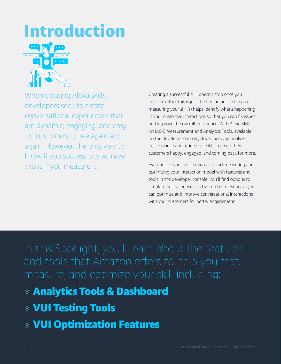# Introduction



When creating Alexa skills, developers seek to create conversational experiences that are dynamic, engaging, and easy for customers to use again and again. However, the only way to know if you successfully achieve this is if you measure it.

Creating a successful skill doesn't stop once you publish, rather this is just the beginning. Testing and measuring your skill(s) helps identify what's happening in your customer interactions so that you can fix issues and improve the overall experience. With Alexa Skills Kit (ASK) Measurement and Analytics Tools, available on the developer console, developers can analyze performance and refine their skills to keep their customers happy, engaged, and coming back for more.

Even before you publish, you can start measuring and optimizing your interaction model with features and tools in the developer console. You'll find options to simulate skill responses and set up beta testing so you can optimize and improve conversational interactions with your customers for better engagement.

measure, and optimize your skill including:

### Analytics Tools & Dashboard

- VUI Testing Tools
- VUI Optimization Features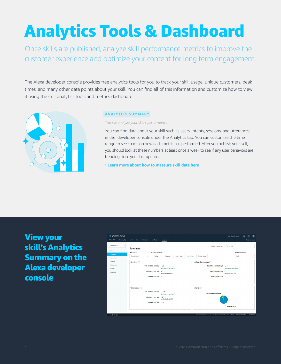## Analytics Tools & Dashboard

Once skills are published, analyze skill performance metrics to improve the customer experience and optimize your content for long term engagement.

The Alexa developer console provides free analytics tools for you to track your skill usage, unique customers, peak times, and many other data points about your skill. You can find all of this information and customize how to view it using the skill analytics tools and metrics dashboard.



#### **ANALYTICS SUMMARY**

*Track & analyze your skill's performance*

You can find data about your skill such as users, intents, sessions, and utterances in the developer console under the Analytics tab. You can customize the time range to see charts on how each metric has performed. After you publish your skill, you should look at these numbers at least once a week to see if any user behaviors are trending since your last update.

**› [Learn more about how to measure skill data here](https://developer.amazon.com/docs/devconsole/measure-skill-usage.html)**

View your skill's Analytics Summary on the Alexa developer console

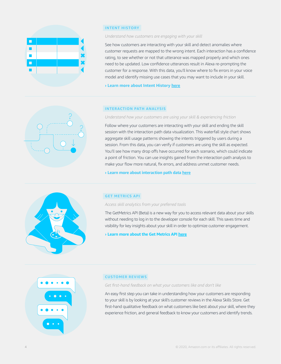

#### **INTENT HISTORY**

#### *Understand how customers are engaging with your skill*

See how customers are interacting with your skill and detect anomalies where customer requests are mapped to the wrong intent. Each interaction has a confidence rating, to see whether or not that utterance was mapped properly and which ones need to be updated. Low confidence utterances result in Alexa re-prompting the customer for a response. With this data, you'll know where to fix errors in your voice model and identify missing use cases that you may want to include in your skill.

**› [Learn more about Intent History here](https://developer.amazon.com/docs/custom-skills/review-intent-history-devconsole.html)**



#### **INTERACTION PATH ANALYSIS**

*Understand how your customers are using your skill & experiencing friction*

Follow where your customers are interacting with your skill and ending the skill session with the interaction path data visualization. This waterfall style chart shows aggregate skill usage patterns showing the intents triggered by users during a session. From this data, you can verify if customers are using the skill as expected. You'll see how many drop offs have occurred for each scenario, which could indicate a point of friction. You can use insights gained from the interaction path analysis to make your flow more natural, fix errors, and address unmet customer needs.

**› [Learn more about interaction path data here](https://developer.amazon.com/docs/devconsole/measure-skill-usage.html#skill-metrics)**



#### **GET METRICS API**

*Access skill analytics from your preferred tools*

The GetMetrics API (Beta) is a new way for you to access relevant data about your skills without needing to log in to the developer console for each skill. This saves time and visibility for key insights about your skill in order to optimize customer engagement.

**› [Learn more about the Get Metrics API here](https://developer.amazon.com/docs/smapi/metrics-api.html)**



#### **CUSTOMER REVIEWS**

*Get first-hand feedback on what your customers like and don't like*

An easy first step you can take in understanding how your customers are responding to your skill is by looking at your skill's customer reviews in the Alexa Skills Store. Get first-hand qualitative feedback on what customers like best about your skill, where they experience friction, and general feedback to know your customers and identify trends.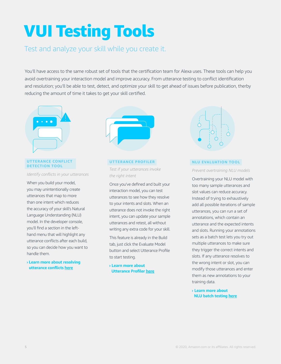# VUI Testing Tools

### Test and analyze your skill while you create it.

You'll have access to the same robust set of tools that the certification team for Alexa uses. These tools can help you avoid overtraining your interaction model and improve accuracy. From utterance testing to conflict identification and resolution; you'll be able to test, detect, and optimize your skill to get ahead of issues before publication, therby reducing the amount of time it takes to get your skill certified.



#### **UTTERANCE CONFLICT DETECTION TOOL**

*Identify conflicts in your utterances*

When you build your model, you may unintentionally create utterances that map to more than one intent which reduces the accuracy of your skill's Natural Language Understanding (NLU) model. In the developer console, you'll find a section in the lefthand menu that will highlight any utterance conflicts after each build, so you can decide how you want to handle them.

**› [Learn more about resolving](https://developer.amazon.com/docs/custom-skills/find-utterance-conflicts-in-your-model.html)  [utterance conflicts](https://developer.amazon.com/docs/custom-skills/find-utterance-conflicts-in-your-model.html) here**



#### **UTTERANCE PROFILER**

*Test if your utterances invoke the right intent*

Once you've defined and built your interaction model, you can test utterances to see how they resolve to your intents and slots. When an utterance does not invoke the right intent, you can update your sample utterances and retest, all without writing any extra code for your skill.

This feature is already in the Build tab, just click the Evaluate Model button and select Utterance Profile to start testing.

**› [Learn more about](https://developer.amazon.com/docs/custom-skills/test-utterances-and-improve-your-interaction-model.html)  [Utterance Profiler](https://developer.amazon.com/docs/custom-skills/test-utterances-and-improve-your-interaction-model.html) here**



#### **NLU EVALUATION TOOL**

*Prevent overtraining NLU models*

Overtraining your NLU model with too many sample utterances and slot values can reduce accuracy. Instead of trying to exhaustively add all possible iterations of sample utterances, you can run a set of annotations, which contain an utterance and the expected intents and slots. Running your annotations sets as a batch test lets you try out multiple utterances to make sure they trigger the correct intents and slots. If any utterance resolves to the wrong intent or slot, you can modify those utterances and enter them as new annotations to your training data.

**› [Learn more about](https://developer.amazon.com/docs/custom-skills/batch-test-your-nlu-model.html)  [NLU batch testing here](https://developer.amazon.com/docs/custom-skills/batch-test-your-nlu-model.html)**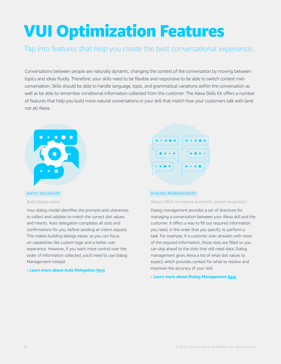# VUI Optimization Features

### Tap into features that help you create the best conversational experience.

Conversations between people are naturally dynamic, changing the context of the conversation by moving between topics and ideas fluidly. Therefore, your skills need to be flexible and responsive to be able to switch context midconversation. Skills should be able to handle language, topic, and grammatical variations within the conversation as well as be able to remember conditional information collected from the customer. The Alexa Skills Kit offers a number of features that help you build more natural conversations in your skill that match how your customers talk with (and not at) Alexa.



#### **AUTO DELEGATE**

#### *Build dialogs easier*

Your dialog model identifies the prompts and utterances to collect and validate to match the correct slot values and intents. Auto delegation completes all slots and confirmations for you, before sending an intent request. This makes building dialogs easier, so you can focus on capabilities like custom logic and a better user experience. However, if you want more control over the order of information collected, you'll need to use Dialog Management instead.

#### **› [Learn more about Auto Delegation here](https://developer.amazon.com/docs/custom-skills/delegate-dialog-to-alexa.html)**



#### **DIALOG MANAGEMENT**

#### *Reduce effort to improve automatic speech recognition*

Dialog management provides a set of directives for managing a conversation between your Alexa skill and the customer. It offers a way to fill out required information you need, in the order that you specify, to perform a task. For example, if a customer over-answers with most of the required information, those slots are filled so you can skip ahead to the slots that still need data. Dialog management gives Alexa a list of what slot values to expect, which provides context for what to resolve and improves the accuracy of your skill.

#### **› [Learn more about Dialog Management here](https://build.amazonalexadev.com/alexa-skill-dialog-management-guide-ww.html)**